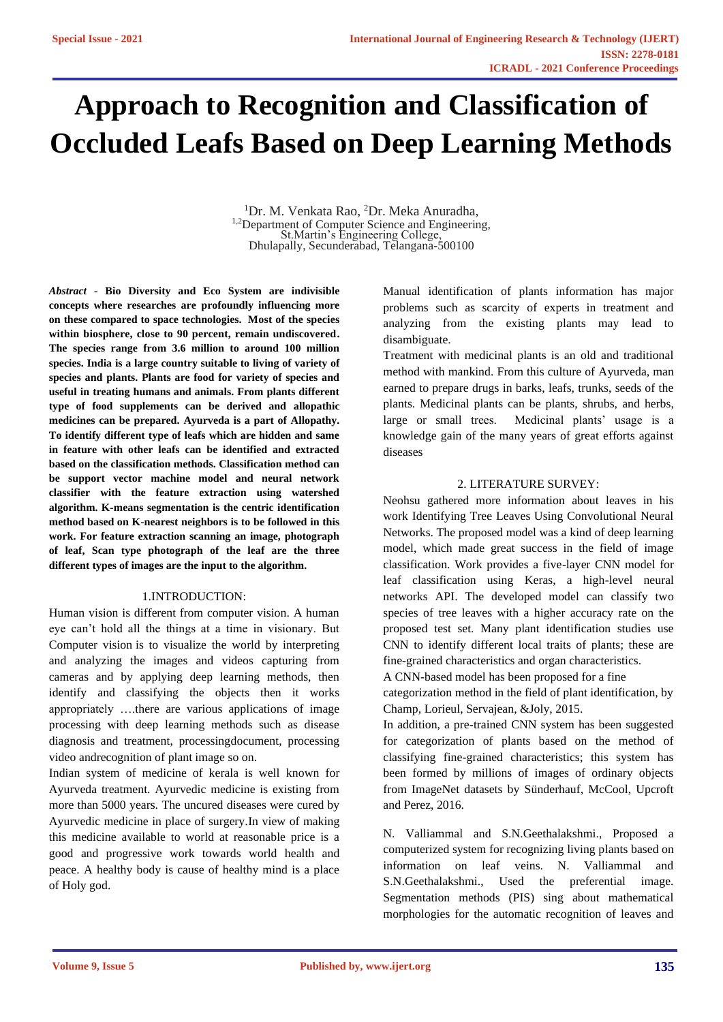# **Approach to Recognition and Classification of Occluded Leafs Based on Deep Learning Methods**

<sup>1</sup>Dr. M. Venkata Rao, <sup>2</sup>Dr. Meka Anuradha, <sup>1,2</sup>Department of Computer Science and Engineering, St.Martin's Engineering College, Dhulapally, Secunderabad, Telangana-500100

*Abstract* **- Bio Diversity and Eco System are indivisible concepts where researches are profoundly influencing more on these compared to space technologies. Most of the species within biosphere, close to 90 percent, remain undiscovered. The species range from 3.6 million to around 100 million species. India is a large country suitable to living of variety of species and plants. Plants are food for variety of species and useful in treating humans and animals. From plants different type of food supplements can be derived and allopathic medicines can be prepared. Ayurveda is a part of Allopathy. To identify different type of leafs which are hidden and same in feature with other leafs can be identified and extracted based on the classification methods. Classification method can be support vector machine model and neural network classifier with the feature extraction using watershed algorithm. K-means segmentation is the centric identification method based on K-nearest neighbors is to be followed in this work. For feature extraction scanning an image, photograph of leaf, Scan type photograph of the leaf are the three different types of images are the input to the algorithm.** 

## 1.INTRODUCTION:

Human vision is different from computer vision. A human eye can't hold all the things at a time in visionary. But Computer vision is to visualize the world by interpreting and analyzing the images and videos capturing from cameras and by applying deep learning methods, then identify and classifying the objects then it works appropriately ….there are various applications of image processing with deep learning methods such as disease diagnosis and treatment, processingdocument, processing video andrecognition of plant image so on.

Indian system of medicine of kerala is well known for Ayurveda treatment. Ayurvedic medicine is existing from more than 5000 years. The uncured diseases were cured by Ayurvedic medicine in place of surgery.In view of making this medicine available to world at reasonable price is a good and progressive work towards world health and peace. A healthy body is cause of healthy mind is a place of Holy god.

Manual identification of plants information has major problems such as scarcity of experts in treatment and analyzing from the existing plants may lead to disambiguate.

Treatment with medicinal plants is an old and traditional method with mankind. From this culture of Ayurveda, man earned to prepare drugs in barks, leafs, trunks, seeds of the plants. Medicinal plants can be plants, shrubs, and herbs, large or small trees. Medicinal plants' usage is a knowledge gain of the many years of great efforts against diseases

## 2. LITERATURE SURVEY:

Neohsu gathered more information about leaves in his work Identifying Tree Leaves Using Convolutional Neural Networks. The proposed model was a kind of deep learning model, which made great success in the field of image classification. Work provides a five-layer CNN model for leaf classification using Keras, a high-level neural networks API. The developed model can classify two species of tree leaves with a higher accuracy rate on the proposed test set. Many plant identification studies use CNN to identify different local traits of plants; these are fine-grained characteristics and organ characteristics.

A CNN-based model has been proposed for a fine

categorization method in the field of plant identification, by Champ, Lorieul, Servajean, &Joly, 2015.

In addition, a pre-trained CNN system has been suggested for categorization of plants based on the method of classifying fine-grained characteristics; this system has been formed by millions of images of ordinary objects from ImageNet datasets by Sünderhauf, McCool, Upcroft and Perez, 2016.

N. Valliammal and S.N.Geethalakshmi., Proposed a computerized system for recognizing living plants based on information on leaf veins. N. Valliammal and S.N.Geethalakshmi., Used the preferential image. Segmentation methods (PIS) sing about mathematical morphologies for the automatic recognition of leaves and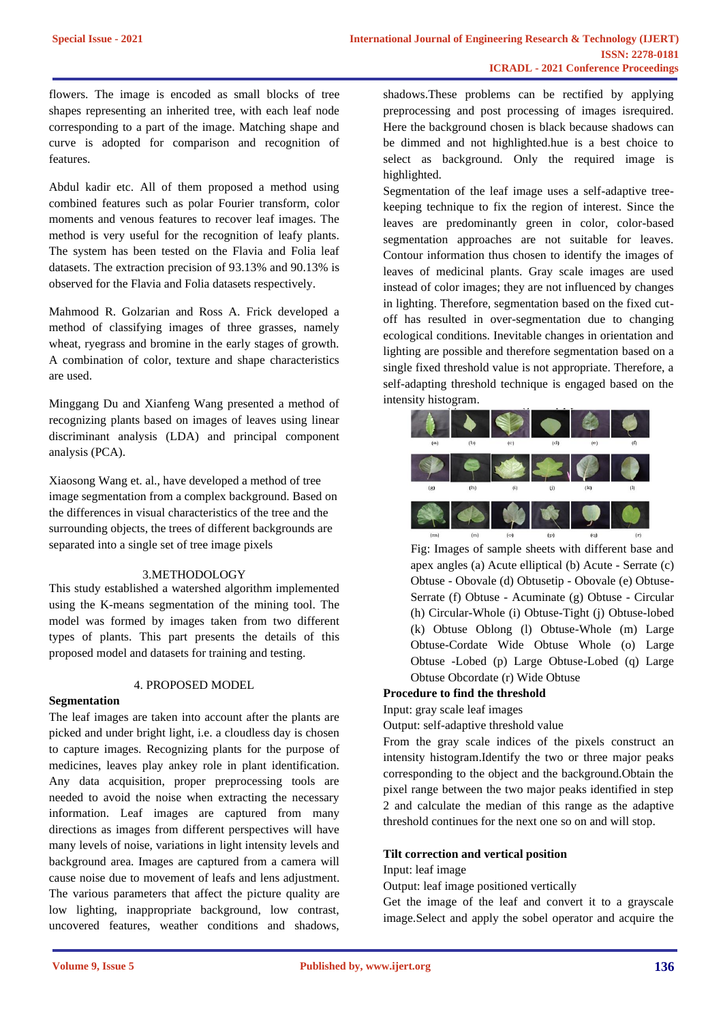flowers. The image is encoded as small blocks of tree shapes representing an inherited tree, with each leaf node corresponding to a part of the image. Matching shape and curve is adopted for comparison and recognition of features.

Abdul kadir etc. All of them proposed a method using combined features such as polar Fourier transform, color moments and venous features to recover leaf images. The method is very useful for the recognition of leafy plants. The system has been tested on the Flavia and Folia leaf datasets. The extraction precision of 93.13% and 90.13% is observed for the Flavia and Folia datasets respectively.

Mahmood R. Golzarian and Ross A. Frick developed a method of classifying images of three grasses, namely wheat, ryegrass and bromine in the early stages of growth. A combination of color, texture and shape characteristics are used.

Minggang Du and Xianfeng Wang presented a method of recognizing plants based on images of leaves using linear discriminant analysis (LDA) and principal component analysis (PCA).

Xiaosong Wang et. al., have developed a method of tree image segmentation from a complex background. Based on the differences in visual characteristics of the tree and the surrounding objects, the trees of different backgrounds are separated into a single set of tree image pixels

#### 3.METHODOLOGY

This study established a watershed algorithm implemented using the K-means segmentation of the mining tool. The model was formed by images taken from two different types of plants. This part presents the details of this proposed model and datasets for training and testing.

### 4. PROPOSED MODEL

#### **Segmentation**

The leaf images are taken into account after the plants are picked and under bright light, i.e. a cloudless day is chosen to capture images. Recognizing plants for the purpose of medicines, leaves play ankey role in plant identification. Any data acquisition, proper preprocessing tools are needed to avoid the noise when extracting the necessary information. Leaf images are captured from many directions as images from different perspectives will have many levels of noise, variations in light intensity levels and background area. Images are captured from a camera will cause noise due to movement of leafs and lens adjustment. The various parameters that affect the picture quality are low lighting, inappropriate background, low contrast, uncovered features, weather conditions and shadows, shadows.These problems can be rectified by applying preprocessing and post processing of images isrequired. Here the background chosen is black because shadows can be dimmed and not highlighted.hue is a best choice to select as background. Only the required image is highlighted.

Segmentation of the leaf image uses a self-adaptive treekeeping technique to fix the region of interest. Since the leaves are predominantly green in color, color-based segmentation approaches are not suitable for leaves. Contour information thus chosen to identify the images of leaves of medicinal plants. Gray scale images are used instead of color images; they are not influenced by changes in lighting. Therefore, segmentation based on the fixed cutoff has resulted in over-segmentation due to changing ecological conditions. Inevitable changes in orientation and lighting are possible and therefore segmentation based on a single fixed threshold value is not appropriate. Therefore, a self-adapting threshold technique is engaged based on the intensity histogram.



 Fig: Images of sample sheets with different base and apex angles (a) Acute elliptical (b) Acute - Serrate (c) Obtuse - Obovale (d) Obtusetip - Obovale (e) Obtuse-Serrate (f) Obtuse - Acuminate (g) Obtuse - Circular (h) Circular-Whole (i) Obtuse-Tight (j) Obtuse-lobed (k) Obtuse Oblong (l) Obtuse-Whole (m) Large Obtuse-Cordate Wide Obtuse Whole (o) Large Obtuse -Lobed (p) Large Obtuse-Lobed (q) Large Obtuse Obcordate (r) Wide Obtuse

#### **Procedure to find the threshold**

Input: gray scale leaf images

Output: self-adaptive threshold value

From the gray scale indices of the pixels construct an intensity histogram.Identify the two or three major peaks corresponding to the object and the background.Obtain the pixel range between the two major peaks identified in step 2 and calculate the median of this range as the adaptive threshold continues for the next one so on and will stop.

#### **Tilt correction and vertical position**

### Input: leaf image

Output: leaf image positioned vertically

Get the image of the leaf and convert it to a grayscale image.Select and apply the sobel operator and acquire the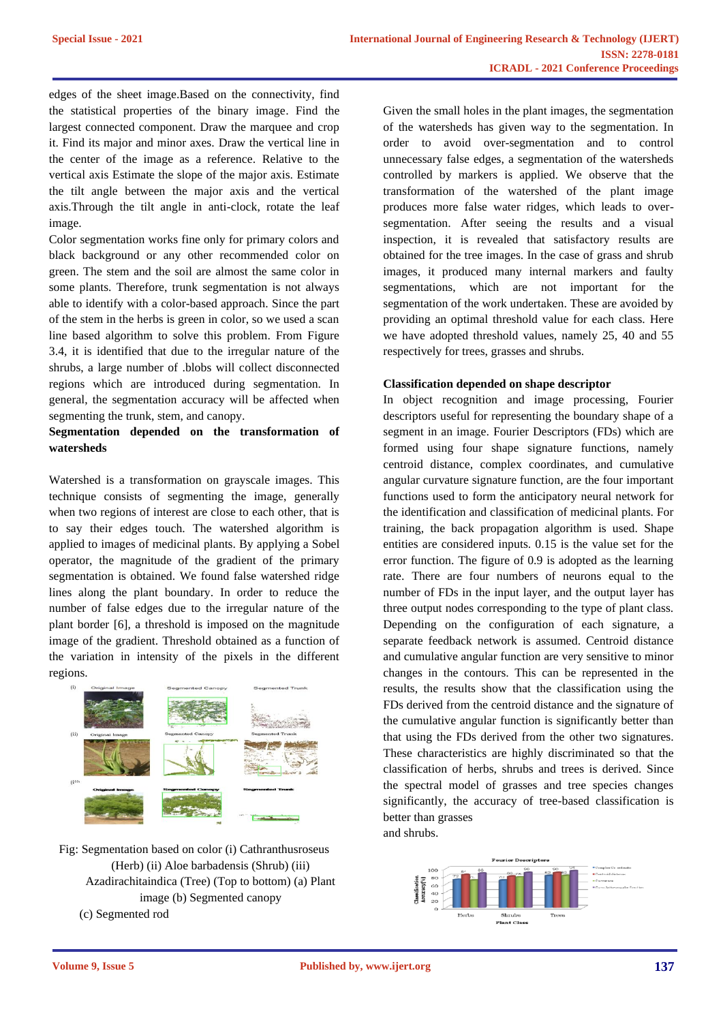edges of the sheet image.Based on the connectivity, find the statistical properties of the binary image. Find the largest connected component. Draw the marquee and crop it. Find its major and minor axes. Draw the vertical line in the center of the image as a reference. Relative to the vertical axis Estimate the slope of the major axis. Estimate the tilt angle between the major axis and the vertical axis.Through the tilt angle in anti-clock, rotate the leaf image.

Color segmentation works fine only for primary colors and black background or any other recommended color on green. The stem and the soil are almost the same color in some plants. Therefore, trunk segmentation is not always able to identify with a color-based approach. Since the part of the stem in the herbs is green in color, so we used a scan line based algorithm to solve this problem. From Figure 3.4, it is identified that due to the irregular nature of the shrubs, a large number of .blobs will collect disconnected regions which are introduced during segmentation. In general, the segmentation accuracy will be affected when segmenting the trunk, stem, and canopy.

## **Segmentation depended on the transformation of watersheds**

Watershed is a transformation on grayscale images. This technique consists of segmenting the image, generally when two regions of interest are close to each other, that is to say their edges touch. The watershed algorithm is applied to images of medicinal plants. By applying a Sobel operator, the magnitude of the gradient of the primary segmentation is obtained. We found false watershed ridge lines along the plant boundary. In order to reduce the number of false edges due to the irregular nature of the plant border [6], a threshold is imposed on the magnitude image of the gradient. Threshold obtained as a function of the variation in intensity of the pixels in the different regions.



Fig: Segmentation based on color (i) Cathranthusroseus (Herb) (ii) Aloe barbadensis (Shrub) (iii) Azadirachitaindica (Tree) (Top to bottom) (a) Plant image (b) Segmented canopy (c) Segmented rod

Given the small holes in the plant images, the segmentation of the watersheds has given way to the segmentation. In order to avoid over-segmentation and to control unnecessary false edges, a segmentation of the watersheds controlled by markers is applied. We observe that the transformation of the watershed of the plant image produces more false water ridges, which leads to oversegmentation. After seeing the results and a visual inspection, it is revealed that satisfactory results are obtained for the tree images. In the case of grass and shrub images, it produced many internal markers and faulty segmentations, which are not important for the segmentation of the work undertaken. These are avoided by providing an optimal threshold value for each class. Here we have adopted threshold values, namely 25, 40 and 55 respectively for trees, grasses and shrubs.

## **Classification depended on shape descriptor**

In object recognition and image processing, Fourier descriptors useful for representing the boundary shape of a segment in an image. Fourier Descriptors (FDs) which are formed using four shape signature functions, namely centroid distance, complex coordinates, and cumulative angular curvature signature function, are the four important functions used to form the anticipatory neural network for the identification and classification of medicinal plants. For training, the back propagation algorithm is used. Shape entities are considered inputs. 0.15 is the value set for the error function. The figure of 0.9 is adopted as the learning rate. There are four numbers of neurons equal to the number of FDs in the input layer, and the output layer has three output nodes corresponding to the type of plant class. Depending on the configuration of each signature, a separate feedback network is assumed. Centroid distance and cumulative angular function are very sensitive to minor changes in the contours. This can be represented in the results, the results show that the classification using the FDs derived from the centroid distance and the signature of the cumulative angular function is significantly better than that using the FDs derived from the other two signatures. These characteristics are highly discriminated so that the classification of herbs, shrubs and trees is derived. Since the spectral model of grasses and tree species changes significantly, the accuracy of tree-based classification is better than grasses

and shrubs.